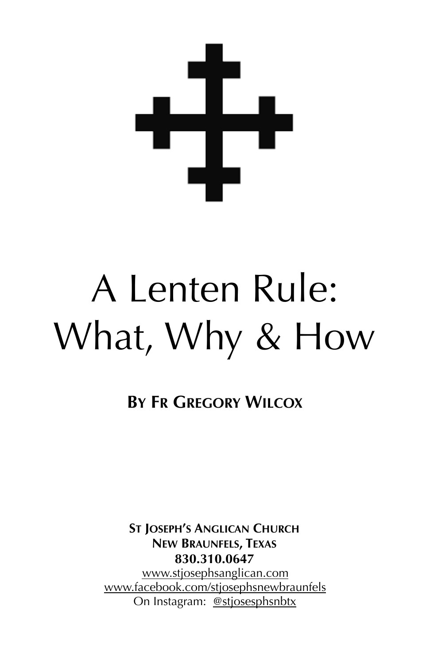# A Lenten Rule: What, Why & How

**BY FR GREGORY WILCOX**

**ST JOSEPH'S ANGLICAN CHURCH NEW BRAUNFELS, TEXAS 830.310.0647**  [www.stjosephsanglican.com](http://www.stjosephsanglican.com*) [www.facebook.com/stjosephsnewbraunfels](http://www.facebook.com/stjosephsnewbraunfels) On Instagram: @stjosesphsnbtx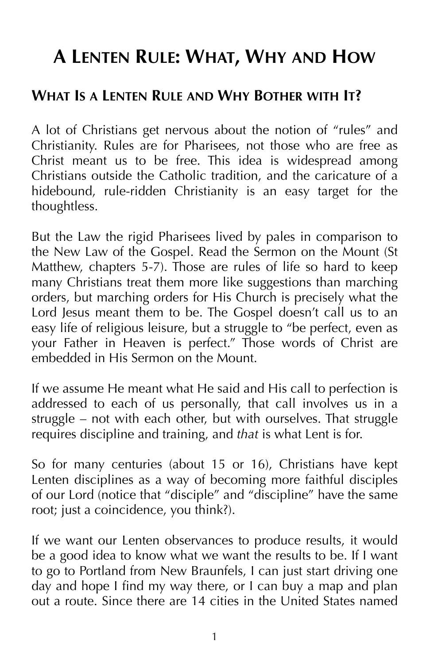## **A LENTEN RULE: WHAT, WHY AND HOW**

#### **WHAT IS A LENTEN RULE AND WHY BOTHER WITH IT?**

A lot of Christians get nervous about the notion of "rules" and Christianity. Rules are for Pharisees, not those who are free as Christ meant us to be free. This idea is widespread among Christians outside the Catholic tradition, and the caricature of a hidebound, rule-ridden Christianity is an easy target for the thoughtless.

But the Law the rigid Pharisees lived by pales in comparison to the New Law of the Gospel. Read the Sermon on the Mount (St Matthew, chapters 5-7). Those are rules of life so hard to keep many Christians treat them more like suggestions than marching orders, but marching orders for His Church is precisely what the Lord Jesus meant them to be. The Gospel doesn't call us to an easy life of religious leisure, but a struggle to "be perfect, even as your Father in Heaven is perfect." Those words of Christ are embedded in His Sermon on the Mount.

If we assume He meant what He said and His call to perfection is addressed to each of us personally, that call involves us in a struggle – not with each other, but with ourselves. That struggle requires discipline and training, and *that* is what Lent is for.

So for many centuries (about 15 or 16), Christians have kept Lenten disciplines as a way of becoming more faithful disciples of our Lord (notice that "disciple" and "discipline" have the same root; just a coincidence, you think?).

If we want our Lenten observances to produce results, it would be a good idea to know what we want the results to be. If I want to go to Portland from New Braunfels, I can just start driving one day and hope I find my way there, or I can buy a map and plan out a route. Since there are 14 cities in the United States named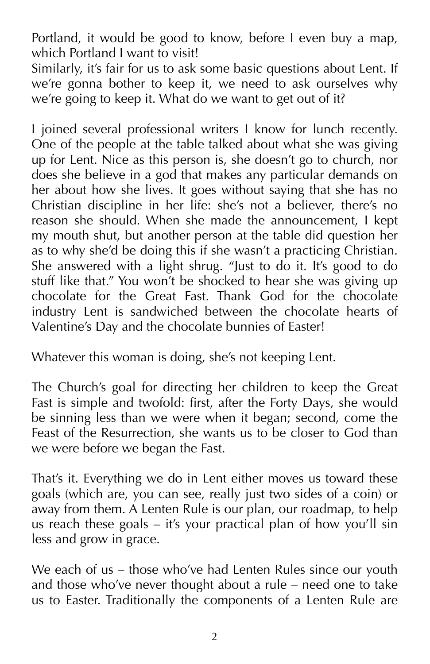Portland, it would be good to know, before I even buy a map, which Portland I want to visit!

Similarly, it's fair for us to ask some basic questions about Lent. If we're gonna bother to keep it, we need to ask ourselves why we're going to keep it. What do we want to get out of it?

I joined several professional writers I know for lunch recently. One of the people at the table talked about what she was giving up for Lent. Nice as this person is, she doesn't go to church, nor does she believe in a god that makes any particular demands on her about how she lives. It goes without saying that she has no Christian discipline in her life: she's not a believer, there's no reason she should. When she made the announcement, I kept my mouth shut, but another person at the table did question her as to why she'd be doing this if she wasn't a practicing Christian. She answered with a light shrug. "Just to do it. It's good to do stuff like that." You won't be shocked to hear she was giving up chocolate for the Great Fast. Thank God for the chocolate industry Lent is sandwiched between the chocolate hearts of Valentine's Day and the chocolate bunnies of Easter!

Whatever this woman is doing, she's not keeping Lent.

The Church's goal for directing her children to keep the Great Fast is simple and twofold: first, after the Forty Days, she would be sinning less than we were when it began; second, come the Feast of the Resurrection, she wants us to be closer to God than we were before we began the Fast.

That's it. Everything we do in Lent either moves us toward these goals (which are, you can see, really just two sides of a coin) or away from them. A Lenten Rule is our plan, our roadmap, to help us reach these goals – it's your practical plan of how you'll sin less and grow in grace.

We each of us – those who've had Lenten Rules since our youth and those who've never thought about a rule – need one to take us to Easter. Traditionally the components of a Lenten Rule are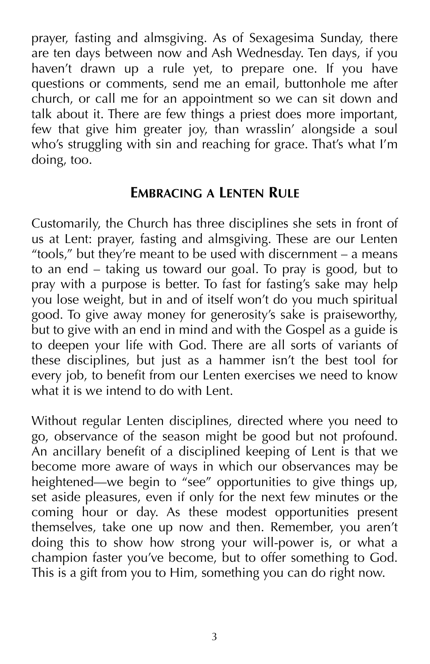prayer, fasting and almsgiving. As of Sexagesima Sunday, there are ten days between now and Ash Wednesday. Ten days, if you haven't drawn up a rule yet, to prepare one. If you have questions or comments, send me an email, buttonhole me after church, or call me for an appointment so we can sit down and talk about it. There are few things a priest does more important, few that give him greater joy, than wrasslin' alongside a soul who's struggling with sin and reaching for grace. That's what I'm doing, too.

#### **EMBRACING A LENTEN RULE**

Customarily, the Church has three disciplines she sets in front of us at Lent: prayer, fasting and almsgiving. These are our Lenten "tools," but they're meant to be used with discernment – a means to an end – taking us toward our goal. To pray is good, but to pray with a purpose is better. To fast for fasting's sake may help you lose weight, but in and of itself won't do you much spiritual good. To give away money for generosity's sake is praiseworthy, but to give with an end in mind and with the Gospel as a guide is to deepen your life with God. There are all sorts of variants of these disciplines, but just as a hammer isn't the best tool for every job, to benefit from our Lenten exercises we need to know what it is we intend to do with Lent.

Without regular Lenten disciplines, directed where you need to go, observance of the season might be good but not profound. An ancillary benefit of a disciplined keeping of Lent is that we become more aware of ways in which our observances may be heightened—we begin to "see" opportunities to give things up, set aside pleasures, even if only for the next few minutes or the coming hour or day. As these modest opportunities present themselves, take one up now and then. Remember, you aren't doing this to show how strong your will-power is, or what a champion faster you've become, but to offer something to God. This is a gift from you to Him, something you can do right now.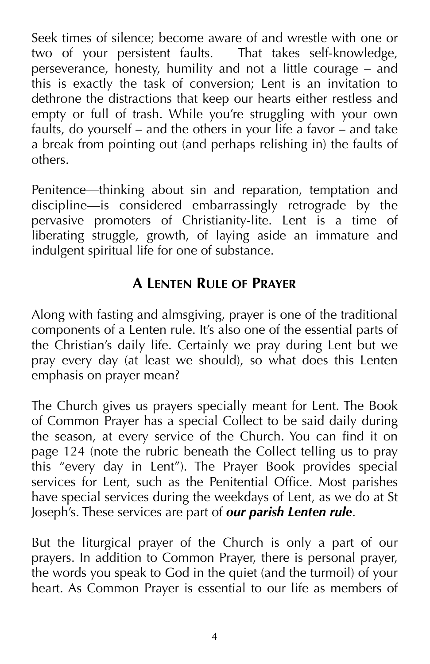Seek times of silence; become aware of and wrestle with one or two of your persistent faults. That takes self-knowledge, perseverance, honesty, humility and not a little courage – and this is exactly the task of conversion; Lent is an invitation to dethrone the distractions that keep our hearts either restless and empty or full of trash. While you're struggling with your own faults, do yourself – and the others in your life a favor – and take a break from pointing out (and perhaps relishing in) the faults of others.

Penitence—thinking about sin and reparation, temptation and discipline—is considered embarrassingly retrograde by the pervasive promoters of Christianity-lite. Lent is a time of liberating struggle, growth, of laying aside an immature and indulgent spiritual life for one of substance.

#### **A LENTEN RULE OF PRAYER**

Along with fasting and almsgiving, prayer is one of the traditional components of a Lenten rule. It's also one of the essential parts of the Christian's daily life. Certainly we pray during Lent but we pray every day (at least we should), so what does this Lenten emphasis on prayer mean?

The Church gives us prayers specially meant for Lent. The Book of Common Prayer has a special Collect to be said daily during the season, at every service of the Church. You can find it on page 124 (note the rubric beneath the Collect telling us to pray this "every day in Lent"). The Prayer Book provides special services for Lent, such as the Penitential Office. Most parishes have special services during the weekdays of Lent, as we do at St Joseph's. These services are part of *our parish Lenten rule*.

But the liturgical prayer of the Church is only a part of our prayers. In addition to Common Prayer, there is personal prayer, the words you speak to God in the quiet (and the turmoil) of your heart. As Common Prayer is essential to our life as members of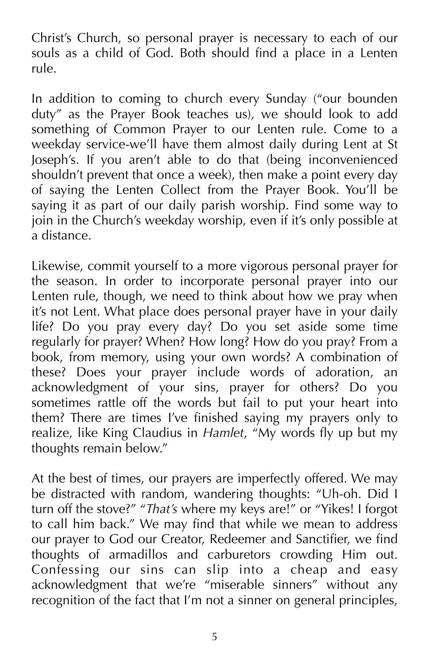Christ's Church, so personal prayer is necessary to each of our souls as a child of God. Both should find a place in a Lenten rule.

In addition to coming to church every Sunday ("our bounden duty" as the Prayer Book teaches us), we should look to add something of Common Prayer to our Lenten rule. Come to a weekday service-we'll have them almost daily during Lent at St Joseph's. If you aren't able to do that (being inconvenienced shouldn't prevent that once a week), then make a point every day of saying the Lenten Collect from the Prayer Book. You'll be saying it as part of our daily parish worship. Find some way to join in the Church's weekday worship, even if it's only possible at a distance.

Likewise, commit yourself to a more vigorous personal prayer for the season. In order to incorporate personal prayer into our Lenten rule, though, we need to think about how we pray when it's not Lent. What place does personal prayer have in your daily life? Do you pray every day? Do you set aside some time regularly for prayer? When? How long? How do you pray? From a book, from memory, using your own words? A combination of these? Does your prayer include words of adoration, an acknowledgment of your sins, prayer for others? Do you sometimes rattle off the words but fail to put your heart into them? There are times I've finished saying my prayers only to realize, like King Claudius in *Hamlet*, "My words fly up but my thoughts remain below."

At the best of times, our prayers are imperfectly offered. We may be distracted with random, wandering thoughts: "Uh-oh. Did I turn off the stove?" "*That's* where my keys are!" or "Yikes! I forgot to call him back." We may find that while we mean to address our prayer to God our Creator, Redeemer and Sanctifier, we find thoughts of armadillos and carburetors crowding Him out. Confessing our sins can slip into a cheap and easy acknowledgment that we're "miserable sinners" without any recognition of the fact that I'm not a sinner on general principles,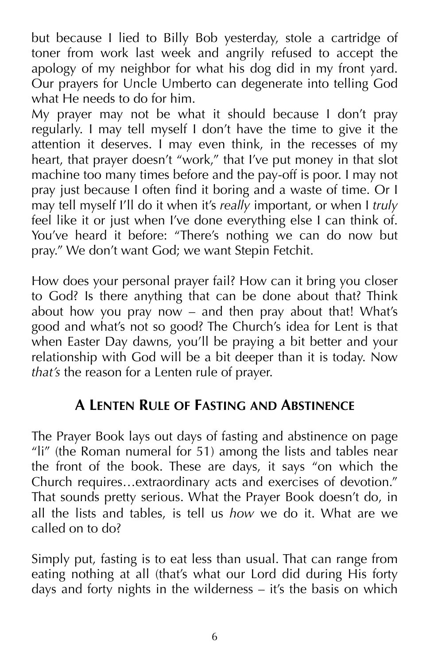but because I lied to Billy Bob yesterday, stole a cartridge of toner from work last week and angrily refused to accept the apology of my neighbor for what his dog did in my front yard. Our prayers for Uncle Umberto can degenerate into telling God what He needs to do for him.

My prayer may not be what it should because I don't pray regularly. I may tell myself I don't have the time to give it the attention it deserves. I may even think, in the recesses of my heart, that prayer doesn't "work," that I've put money in that slot machine too many times before and the pay-off is poor. I may not pray just because I often find it boring and a waste of time. Or I may tell myself I'll do it when it's *really* important, or when I *truly* feel like it or just when I've done everything else I can think of. You've heard it before: "There's nothing we can do now but pray." We don't want God; we want Stepin Fetchit.

How does your personal prayer fail? How can it bring you closer to God? Is there anything that can be done about that? Think about how you pray now – and then pray about that! What's good and what's not so good? The Church's idea for Lent is that when Easter Day dawns, you'll be praying a bit better and your relationship with God will be a bit deeper than it is today. Now *that's* the reason for a Lenten rule of prayer.

### **A LENTEN RULE OF FASTING AND ABSTINENCE**

The Prayer Book lays out days of fasting and abstinence on page "li" (the Roman numeral for 51) among the lists and tables near the front of the book. These are days, it says "on which the Church requires…extraordinary acts and exercises of devotion." That sounds pretty serious. What the Prayer Book doesn't do, in all the lists and tables, is tell us *how* we do it. What are we called on to do?

Simply put, fasting is to eat less than usual. That can range from eating nothing at all (that's what our Lord did during His forty days and forty nights in the wilderness – it's the basis on which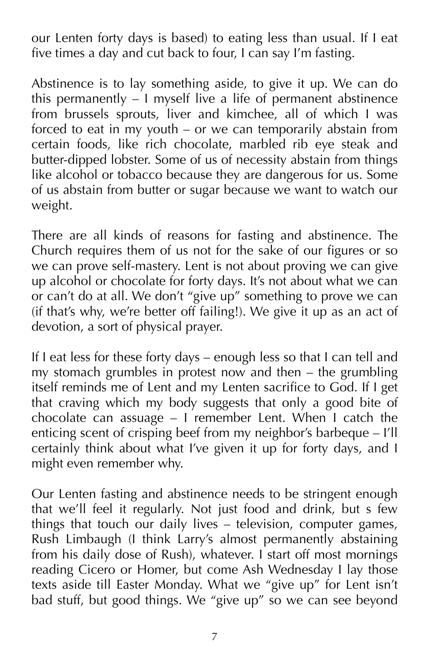our Lenten forty days is based) to eating less than usual. If I eat five times a day and cut back to four, I can say I'm fasting.

Abstinence is to lay something aside, to give it up. We can do this permanently  $-1$  myself live a life of permanent abstinence from brussels sprouts, liver and kimchee, all of which I was forced to eat in my youth – or we can temporarily abstain from certain foods, like rich chocolate, marbled rib eye steak and butter-dipped lobster. Some of us of necessity abstain from things like alcohol or tobacco because they are dangerous for us. Some of us abstain from butter or sugar because we want to watch our weight.

There are all kinds of reasons for fasting and abstinence. The Church requires them of us not for the sake of our figures or so we can prove self-mastery. Lent is not about proving we can give up alcohol or chocolate for forty days. It's not about what we can or can't do at all. We don't "give up" something to prove we can (if that's why, we're better off failing!). We give it up as an act of devotion, a sort of physical prayer.

If I eat less for these forty days – enough less so that I can tell and my stomach grumbles in protest now and then – the grumbling itself reminds me of Lent and my Lenten sacrifice to God. If I get that craving which my body suggests that only a good bite of chocolate can assuage  $-1$  remember Lent. When I catch the enticing scent of crisping beef from my neighbor's barbeque – I'll certainly think about what I've given it up for forty days, and I might even remember why.

Our Lenten fasting and abstinence needs to be stringent enough that we'll feel it regularly. Not just food and drink, but s few things that touch our daily lives  $-$  television, computer games, Rush Limbaugh (I think Larry's almost permanently abstaining from his daily dose of Rush), whatever. I start off most mornings reading Cicero or Homer, but come Ash Wednesday I lay those texts aside till Easter Monday. What we "give up" for Lent isn't bad stuff, but good things. We "give up" so we can see beyond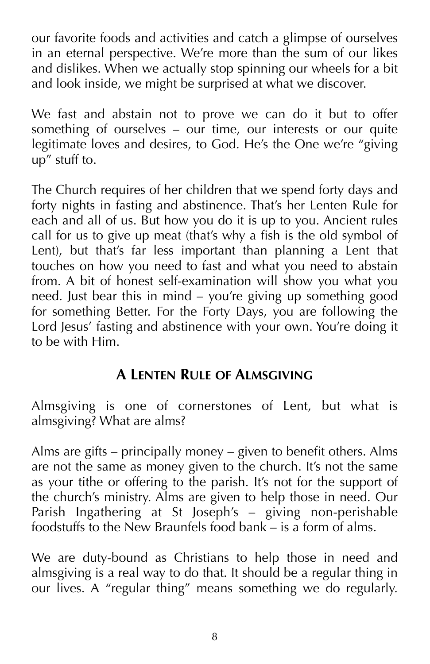our favorite foods and activities and catch a glimpse of ourselves in an eternal perspective. We're more than the sum of our likes and dislikes. When we actually stop spinning our wheels for a bit and look inside, we might be surprised at what we discover.

We fast and abstain not to prove we can do it but to offer something of ourselves – our time, our interests or our quite legitimate loves and desires, to God. He's the One we're "giving up" stuff to.

The Church requires of her children that we spend forty days and forty nights in fasting and abstinence. That's her Lenten Rule for each and all of us. But how you do it is up to you. Ancient rules call for us to give up meat (that's why a fish is the old symbol of Lent), but that's far less important than planning a Lent that touches on how you need to fast and what you need to abstain from. A bit of honest self-examination will show you what you need. Just bear this in mind – you're giving up something good for something Better. For the Forty Days, you are following the Lord Jesus' fasting and abstinence with your own. You're doing it to be with Him.

#### **A LENTEN RULE OF ALMSGIVING**

Almsgiving is one of cornerstones of Lent, but what is almsgiving? What are alms?

Alms are gifts – principally money – given to benefit others. Alms are not the same as money given to the church. It's not the same as your tithe or offering to the parish. It's not for the support of the church's ministry. Alms are given to help those in need. Our Parish Ingathering at St Joseph's – giving non-perishable foodstuffs to the New Braunfels food bank – is a form of alms.

We are duty-bound as Christians to help those in need and almsgiving is a real way to do that. It should be a regular thing in our lives. A "regular thing" means something we do regularly.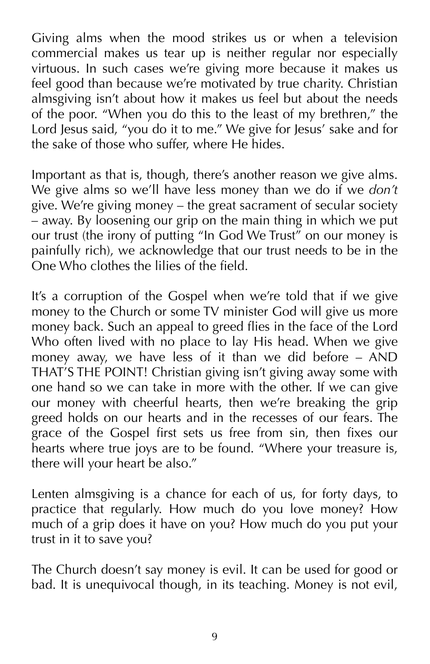Giving alms when the mood strikes us or when a television commercial makes us tear up is neither regular nor especially virtuous. In such cases we're giving more because it makes us feel good than because we're motivated by true charity. Christian almsgiving isn't about how it makes us feel but about the needs of the poor. "When you do this to the least of my brethren," the Lord Jesus said, "you do it to me." We give for Jesus' sake and for the sake of those who suffer, where He hides.

Important as that is, though, there's another reason we give alms. We give alms so we'll have less money than we do if we *don't* give. We're giving money – the great sacrament of secular society  $\sim$  away. By loosening our grip on the main thing in which we put our trust (the irony of putting "In God We Trust" on our money is painfully rich), we acknowledge that our trust needs to be in the One Who clothes the lilies of the field.

It's a corruption of the Gospel when we're told that if we give money to the Church or some TV minister God will give us more money back. Such an appeal to greed flies in the face of the Lord Who often lived with no place to lay His head. When we give money away, we have less of it than we did before – AND THAT'S THE POINT! Christian giving isn't giving away some with one hand so we can take in more with the other. If we can give our money with cheerful hearts, then we're breaking the grip greed holds on our hearts and in the recesses of our fears. The grace of the Gospel first sets us free from sin, then fixes our hearts where true joys are to be found. "Where your treasure is, there will your heart be also."

Lenten almsgiving is a chance for each of us, for forty days, to practice that regularly. How much do you love money? How much of a grip does it have on you? How much do you put your trust in it to save you?

The Church doesn't say money is evil. It can be used for good or bad. It is unequivocal though, in its teaching. Money is not evil,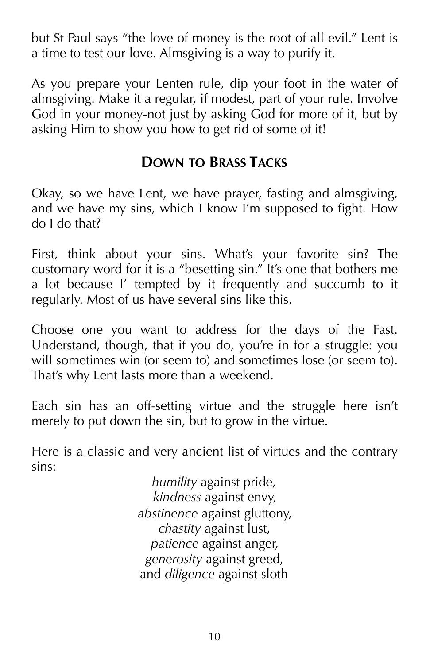but St Paul says "the love of money is the root of all evil." Lent is a time to test our love. Almsgiving is a way to purify it.

As you prepare your Lenten rule, dip your foot in the water of almsgiving. Make it a regular, if modest, part of your rule. Involve God in your money-not just by asking God for more of it, but by asking Him to show you how to get rid of some of it!

### **DOWN TO BRASS TACKS**

Okay, so we have Lent, we have prayer, fasting and almsgiving, and we have my sins, which I know I'm supposed to fight. How do I do that?

First, think about your sins. What's your favorite sin? The customary word for it is a "besetting sin." It's one that bothers me a lot because I' tempted by it frequently and succumb to it regularly. Most of us have several sins like this.

Choose one you want to address for the days of the Fast. Understand, though, that if you do, you're in for a struggle: you will sometimes win (or seem to) and sometimes lose (or seem to). That's why Lent lasts more than a weekend.

Each sin has an off-setting virtue and the struggle here isn't merely to put down the sin, but to grow in the virtue.

Here is a classic and very ancient list of virtues and the contrary sins:

> *humility* against pride, *kindness* against envy, *abstinence* against gluttony, *chastity* against lust, *patience* against anger, *generosity* against greed, and *diligence* against sloth